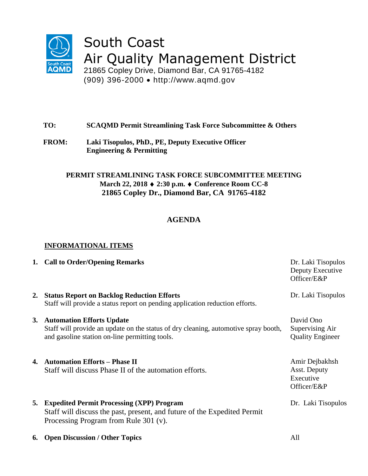

# South Coast Air Quality Management District

21865 Copley Drive, Diamond Bar, CA 91765-4182 (909) 396-2000 http://www.aqmd.gov

# **TO: SCAQMD Permit Streamlining Task Force Subcommittee & Others**

**FROM: Laki Tisopulos, PhD., PE, Deputy Executive Officer Engineering & Permitting**

## **PERMIT STREAMLINING TASK FORCE SUBCOMMITTEE MEETING March 22, 2018 2:30 p.m. Conference Room CC-8 21865 Copley Dr., Diamond Bar, CA 91765-4182**

# **AGENDA**

## **INFORMATIONAL ITEMS**

| 1. Call to Order/Opening Remarks                                                                                                                                      | Dr. Laki Tisopulos<br>Deputy Executive<br>Officer/E&P      |
|-----------------------------------------------------------------------------------------------------------------------------------------------------------------------|------------------------------------------------------------|
| 2. Status Report on Backlog Reduction Efforts<br>Staff will provide a status report on pending application reduction efforts.                                         | Dr. Laki Tisopulos                                         |
| 3. Automation Efforts Update<br>Staff will provide an update on the status of dry cleaning, automotive spray booth,<br>and gasoline station on-line permitting tools. | David Ono<br>Supervising Air<br><b>Quality Engineer</b>    |
| 4. Automation Efforts – Phase II<br>Staff will discuss Phase II of the automation efforts.                                                                            | Amir Dejbakhsh<br>Asst. Deputy<br>Executive<br>Officer/E&P |
| 5. Expedited Permit Processing (XPP) Program<br>Staff will discuss the past, present, and future of the Expedited Permit<br>Processing Program from Rule 301 (v).     | Dr. Laki Tisopulos                                         |
| <b>6.</b> Open Discussion / Other Topics                                                                                                                              | All                                                        |